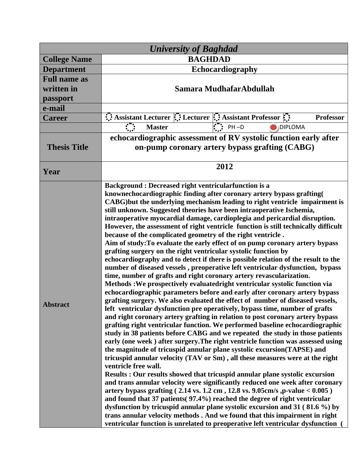| <b>University of Baghdad</b> |                                                                                                                                                                  |
|------------------------------|------------------------------------------------------------------------------------------------------------------------------------------------------------------|
| <b>College Name</b>          | <b>BAGHDAD</b>                                                                                                                                                   |
| <b>Department</b>            | Echocardiography                                                                                                                                                 |
| <b>Full name as</b>          |                                                                                                                                                                  |
| written in                   | Samara MudhafarAbdullah                                                                                                                                          |
| passport                     |                                                                                                                                                                  |
| e-mail                       |                                                                                                                                                                  |
| <b>Career</b>                | $\therefore$ Assistant Lecturer $\therefore$ Lecturer $\therefore$ Assistant Professor $\therefore$<br><b>Professor</b>                                          |
|                              | $\mathbf{F}$ : PH-D<br><b>Master</b><br><b>DIPLOMA</b>                                                                                                           |
|                              | echocardiographic assessment of RV systolic function early after                                                                                                 |
| <b>Thesis Title</b>          | on-pump coronary artery bypass grafting (CABG)                                                                                                                   |
|                              | 2012                                                                                                                                                             |
| Year                         |                                                                                                                                                                  |
| <b>Abstract</b>              | <b>Background: Decreased right ventricularfunction is a</b>                                                                                                      |
|                              | knownechocardiographic finding after coronary artery bypass grafting                                                                                             |
|                              | CABG) but the underlying mechanism leading to right ventricle impairment is                                                                                      |
|                              | still unknown. Suggested theories have been intraoperative Ischemia,                                                                                             |
|                              | intraoperative myocardial damage, cardioplegia and pericardial disruption.<br>However, the assessment of right ventricle function is still technically difficult |
|                              | because of the complicated geometry of the right ventricle.                                                                                                      |
|                              | Aim of study: To evaluate the early effect of on pump coronary artery bypass                                                                                     |
|                              | grafting surgery on the right ventricular systolic function by                                                                                                   |
|                              | echocardiography and to detect if there is possible relation of the result to the                                                                                |
|                              | number of diseased vessels, preoperative left ventricular dysfunction, bypass                                                                                    |
|                              | time, number of grafts and right coronary artery revascularization.<br>Methods: We prospectively evaluatedright ventricular systolic function via                |
|                              | echocardiographic parameters before and early after coronary artery bypass                                                                                       |
|                              | grafting surgery. We also evaluated the effect of number of diseased vessels,                                                                                    |
|                              | left ventricular dysfunction pre operatively, bypass time, number of grafts                                                                                      |
|                              | and right coronary artery grafting in relation to post coronary artery bypass                                                                                    |
|                              | grafting right ventricular function. We performed baseline echocardiographic                                                                                     |
|                              | study in 38 patients before CABG and we repeated the study in those patients                                                                                     |
|                              | early (one week) after surgery. The right ventricle function was assessed using<br>the magnitude of tricuspid annular plane systolic excursion (TAPSE) and       |
|                              | tricuspid annular velocity (TAV or Sm), all these measures were at the right                                                                                     |
|                              | ventricle free wall.                                                                                                                                             |
|                              | Results: Our results showed that tricuspid annular plane systolic excursion                                                                                      |
|                              | and trans annular velocity were significantly reduced one week after coronary                                                                                    |
|                              | artery bypass grafting $(2.14 \text{ vs. } 1.2 \text{ cm}, 12.8 \text{ vs. } 9.05 \text{ cm/s}, p-value < 0.005)$                                                |
|                              | and found that 37 patients (97.4%) reached the degree of right ventricular<br>dysfunction by tricuspid annular plane systolic excursion and 31 (81.6 %) by       |
|                              | trans annular velocity methods. And we found that this impairment in right                                                                                       |
|                              | ventricular function is unrelated to preoperative left ventricular dysfunction                                                                                   |